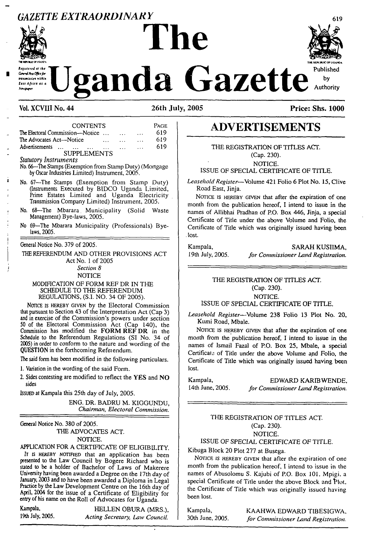### *GAZETTE EXTRAORDINARY* <sup>619</sup>



.<br>I Post Office fo bananission within East Africa as a

# **Published Uganda Gazette**

#### **Vol. XCVIII No. 44 26th July, 2005 Price: Shs. 1000**

| <b>CONTENTS</b>                                                                                                                                                                                                                                                                                                                                                                                                                                         | PAGE |
|---------------------------------------------------------------------------------------------------------------------------------------------------------------------------------------------------------------------------------------------------------------------------------------------------------------------------------------------------------------------------------------------------------------------------------------------------------|------|
| The Electoral Commission—Notice                                                                                                                                                                                                                                                                                                                                                                                                                         | 619  |
| The Advocates Act-Notice<br>$\dddotsc$                                                                                                                                                                                                                                                                                                                                                                                                                  | 619  |
| Advertisements<br>$\sim 100$ km s $^{-1}$<br>$\ddotsc$                                                                                                                                                                                                                                                                                                                                                                                                  | 619  |
| <b>SUPPLEMENTS</b>                                                                                                                                                                                                                                                                                                                                                                                                                                      |      |
| Statutory Instruments<br>No. 66—The Stamps (Exemption from Stamp Duty) (Mortgage<br>by Oscar Industries Limited) Instrument, 2005.                                                                                                                                                                                                                                                                                                                      |      |
| No. 67-The Stamps (Exemption from Stamp Duty)<br>(Instruments Executed by BIDCO Uganda Limited,<br>Prime Estates Limited and Uganda Electricity<br>Transmission Company Limited) Instrument, 2005.                                                                                                                                                                                                                                                      |      |
| No. 68—The Mbarara Municipality (Solid Waste<br>Management) Bye-laws, 2005.                                                                                                                                                                                                                                                                                                                                                                             |      |
| No 69—The Mbarara Municipality (Professionals) Bye-<br>laws, 2005.                                                                                                                                                                                                                                                                                                                                                                                      |      |
| General Notice No. 379 of 2005.                                                                                                                                                                                                                                                                                                                                                                                                                         |      |
| THE REFERENDUM AND OTHER PROVISIONS ACT                                                                                                                                                                                                                                                                                                                                                                                                                 |      |
| Act No. 1 of 2005                                                                                                                                                                                                                                                                                                                                                                                                                                       |      |
| Section 8                                                                                                                                                                                                                                                                                                                                                                                                                                               |      |
| <b>NOTICE</b>                                                                                                                                                                                                                                                                                                                                                                                                                                           |      |
| MODIFICATION OF FORM REF DR IN THE<br>SCHEDULE TO THE REFERENDUM<br>REGULATIONS, (S.I. NO. 34 OF 2005).                                                                                                                                                                                                                                                                                                                                                 |      |
| NOTICE IS HEREBY GIVEN by the Electoral Commission<br>that pursuant to Section 43 of the Interpretation Act (Cap 3)<br>and in exercise of the Commission's powers under section<br>50 of the Electoral Commission Act (Cap 140), the<br>Commission has modified the FORM REF DR in the<br>Schedule to the Referendum Regulations (SI No. 34 of<br>2005) in order to conform to the nature and wording of the<br>QUESTION in the forthcoming Referendum. |      |

The said form has been modified in the following particulars.

1. Variation in the wording of the said Form.

2. Sides contesting are modified to reflect the **YES** and **NO** sides

Issued at Kampala this 25th day of July, 2005.

ENG. DR. BADRU M. KIGGUNDU, *Chairman, Electoral Commission.*

General Notice No. 380 of 2005.

THE ADVOCATES ACT. NOTICE.

APPLICATION FOR A CERTIFICATE OF ELIGIBILITY, It is HEREBY NOTIFIED that an application has been presented to the Law Council by Bogere Richard who is stated to be a holder of Bachelor of Laws of Makerere University having been awarded a Degree on the 17th day of January, 2003 and to have been awarded a Diploma in Legal Practice by the Law Development Centre on the 16th day of April, 2004 for the issue of a Certificate of Eligibility for entry of his name on the Roll of Advocates for Uganda.

Kampala, **HELLEN OBURA (MRS.),**<br>19th July, 2005. Acting Secretary Law Council 19th July, 2005. *Acting Secretary, Law Council.*

## **ADVERTISEMENTS**

THE REGISTRATION OF TITLES ACT. (Cap. 230). NOTICE.

ISSUE OF SPECIAL CERTIFICATE OF TITLE.

*Leasehold Register*—Volume 421 Folio 6 Plot No. 15, Clive Road East, Jinja.

NOTICE IS HEREBY GIVEN that after the expiration of one month from the publication hereof, I intend to issue in the names of Allibhai Pradhan of P.O. Box 446, Jinja, a special Certificate of Title under the above Volume and Folio, the Certificate of Title which was originally issued having been . lost.

Kampala, SARAH KUSIIMA, SARAH KUSIIMA, SARAH KUSIIMA, 19th July, 2005. *for Commissioner Land Registration.*

#### THE REGISTRATION OF TITLES ACT. (Cap. 230). NOTICE. ISSUE OF SPECIAL CERTIFICATE OF TITLE.

*Leasehold Register*—Volume 238 Folio 13 Plot No. 20, Kumi Road, Mbale.

NOTICE IS HEREBY GIVEN that after the expiration of one month from the publication hereof, I intend to issue in the names of Ismail Fazal of P.O. Box 25, Mbale, a special Certificate of Title under the above Volume and Folio, the Certificate of Title which was originally issued having been lost.

Kampala, EDWARD KARIBWENDE,<br>14th June, 2005. for Commissioner Land Registration. I4th June, 2005. *for Commissioner Land Registration.*

#### THE REGISTRATION OF TITLES ACT. (Cap. 230). NOTICE.

ISSUE OF SPECIAL CERTIFICATE OF TITLE.

Kibuga Block 20 Plot 277 at Busega.

NOTICE IS HEREBY GIVEN that after the expiration of one month from the publication hereof, I intend to issue in the names of Abusolomu S. Kajubi of P.O. Box 101, Mpigi. a special Certificate of Title under the above Block and Plot, the Certificate of Title which was originally issued having been lost.

Kampala, KAAHWA EDWARD TIBESIGWA,

30th June, 2005, *for Commissioner Land Registration.*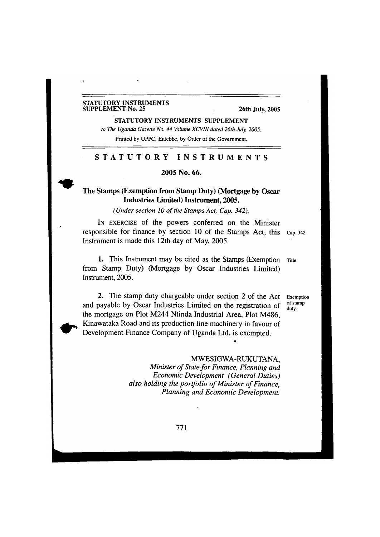#### **STATUTORY INSTRUMENTS SUPPLEMENT No. 25**

#### **26th July, 2005**

**STATUTORY INSTRUMENTS SUPPLEMENT** *to The Uganda Gazette No. 44 Volume XCVIII dated 26th July, 2005.* Printed by UPPC, Entebbe, by Order of the Government.

#### STATUTORY INSTRUMENTS

2005 No. 66.

#### The Stamps (Exemption from Stamp Duty) (Mortgage by Oscar Industries Limited) Instrument, 2005.

#### *(Under section 10 ofthe Stamps Act, Cap. 342).*

I<sup>n</sup> exercise of the powers conferred on the Minister responsible for finance by section 10 of the Stamps Act, this Cap. 342. Instrument is made this 12th day of May, 2005.

1. This Instrument may be cited as the Stamps (Exemption Title. from Stamp Duty) (Mortgage by Oscar Industries Limited) Instrument, 2005.

> Exemption of stamp duty.

2. The stamp duty chargeable under section 2 of the Act and payable by Oscar Industries Limited on the registration of the mortgage on Plot M244 Ntinda Industrial Area, Plot M486, Kinawataka Road and its production line machinery in favour of Development Finance Company of Uganda Ltd, is exempted.

#### MWESIGWA-RUKUTANA,

*9*

*Minister ofState for Finance, Planning and Economic Development (General Duties) also holding the portfolio ofMinister ofFinance, Planning and Economic Development.*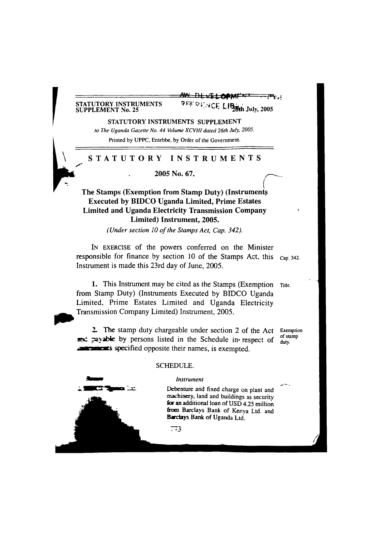## **STATUTORY INSTRUMENTS**

AW DEVELOPMI **SUPPLEMENT No. 25 • July, 2005**

**STATUTORY INSTRUMENTS SUPPLEMENT**

*to The Uganda Gazette No. 44 Volume XCVIII dated 26th July, 2005.*

Printed by UPPC, Entebbe, by Order of the Government.

#### **STATUTORY INSTRUMENTS**

**2005 No. 67.**

**The Stamps (Exemption from Stamp Duty) (Instrument^ Executed by BIDCO Uganda Limited, Prime Estates Limited and Uganda Electricity Transmission Company Limited) Instrument, 2005.**

*(Under section 10 ofthe Stamps Act, Cap. 342).*

I<sup>n</sup> exercise of the powers conferred on the Minister responsible for finance by section 10 of the Stamps Act, this cap. 342. Instrument is made this 23rd day of June, 2005.

**1.** This Instrument may be cited as the Stamps (Exemption Title, from Stamp Duty) (Instruments Executed by BIDCO Uganda Limited, Prime Estates Limited and Uganda Electricity Transmission Company Limited) Instrument, 2005.

**2.** The stamp duty chargeable under section 2 of the Act Exemption  $m$   $\equiv$   $\approx$   $\approx$  able by persons listed in the Schedule in respect of  $\frac{du}{d}$ **TTACKES** specified opposite their names, is exempted.



#### SCHEDULE.

#### *Instrument*

Debenture and fixed charge on plant and machinery, land and buildings as security for an additional loan of USD 4.25 million from Barclays Bank of Kenya Ltd. and Barclays Bank of Uganda Ltd.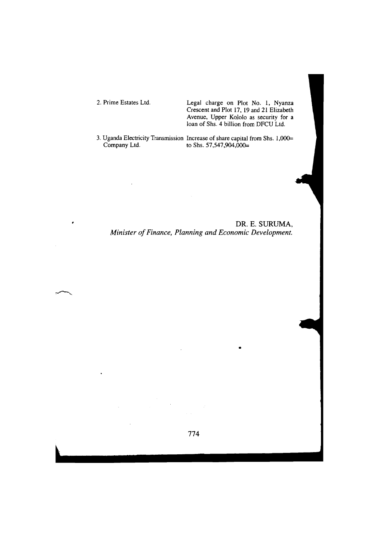$\bullet$ 

 $\ddot{\phantom{a}}$ 

2. Prime Estates Ltd. Legal charge on Plot No. 1, Nyanza Crescent and Plot 17, 19 and 21 Elizabeth Avenue, Upper Kololo as security for a loan of Shs. 4 billion from DFCU Ltd.

3. Uganda Electricity Transmission Increase of share capital from Shs. 1,000=<br>Company Ltd. to Shs. 57,547,904,000= to Shs.  $57,547,904,000=$ 

DR. E. SURUMA, *Minister ofFinance, Planning and Economic Development.*

774

a la

 $\mathcal{L}_{\mathbf{z}}$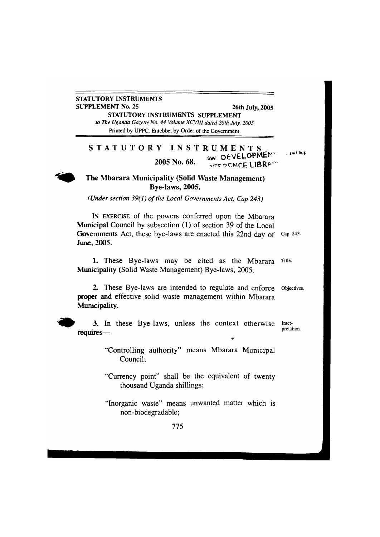#### **STATUTORY INSTRUMENTS SUPPLEMENT No. 25 26th July, 2005**

**STATUTORY INSTRUMENTS SUPPLEMENT** r? *The Uganda Gazette No. 44 Volume XCVIH dated 26th July, 2005* Printed by UPPC. Entebbe, by Order of the Government.

#### **STATUTORY INSTRUMENTS 2005 No. 68.** avm **DtVGLOPMEN' LIBRA<sup>I</sup>**

. k'f



#### **The Mbarara Municipality (Solid Waste Management) Bye-laws, 2005.**

*<sup>&</sup>lt; Under section 39(1) ofthe Local Governments Act, Cap 243)*

IN EXERCISE of the powers conferred upon the Mbarara Municipal Council by subsection (1) of section 39 of the Local Governments Act, these bye-laws are enacted this 22nd day of Cap. 243. **June. 2005.**

1. These Bye-laws may be cited as the Mbarara Title. Municipality (Solid Waste Management) Bye-laws, 2005.

2. These Bye-laws are intended to regulate and enforce Objectives. proper and effective solid waste management within Mbarara Municipality.



3. In these Bye-laws, unless the context otherwise Interpretation. **requires—** •

> "Controlling authority" means Mbarara Municipal Council;

> "Currency point" shall be the equivalent of twenty thousand Uganda shillings;

> "Inorganic waste" means unwanted matter which is non-biodegradable;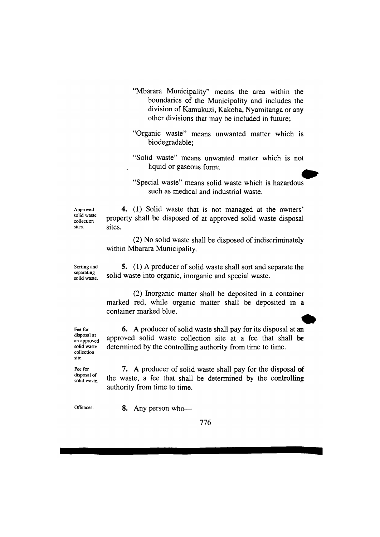- "Mbarara Municipality" means the area within the boundaries of the Municipality and includes the division of Kamukuzi, Kakoba, Nyamitanga or any other divisions that may be included in future;
- "Organic waste" means unwanted matter which is biodegradable;
- "Solid waste" means unwanted matter which is not liquid or gaseous form;
- "Special waste" means solid waste which is hazardous such as medical and industrial waste.

Approved solid waste collection sites.

**4.** (1) Solid waste that is not managed at the owners' property shall be disposed of at approved solid waste disposal sites.

(2) No solid waste shall be disposed of indiscriminately within Mbarara Municipality.

Sorting and separating solid waste.

**5.** (1) A producer of solid waste shall sort and separate the solid waste into organic, inorganic and special waste.

(2) Inorganic matter shall be deposited in a container marked red, while organic matter shall be deposited in a container marked blue.

Fee for disposal at an approved solid waste collection site.

Fee for disposal of solid waste.

**6.** A producer of solid waste shall pay for its disposal at an approved solid waste collection site at a fee that shall be determined by the controlling authority from time to time.

7. A producer of solid waste shall pay for the disposal of the waste, a fee that shall be determined by the controlling authority from time to time.

Offences. **8.** Any person who—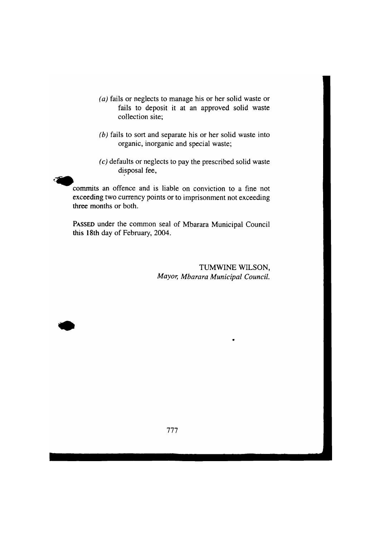- *(a)* fails or neglects to manage his or her solid waste or fails to deposit it at an approved solid waste collection site;
- *(b)* fails to sort and separate his or her solid waste into organic, inorganic and special waste;
- *(c)* defaults or neglects to pay the prescribed solid waste disposal fee,

commits an offence and is liable on conviction to a fine not exceeding two currency points or to imprisonment not exceeding three months or both.

PASSED under the common seal of Mbarara Municipal Council this 18th day of February, 2004.

> TUMWINE WILSON, *Mayor, Mbarara Municipal Council.*

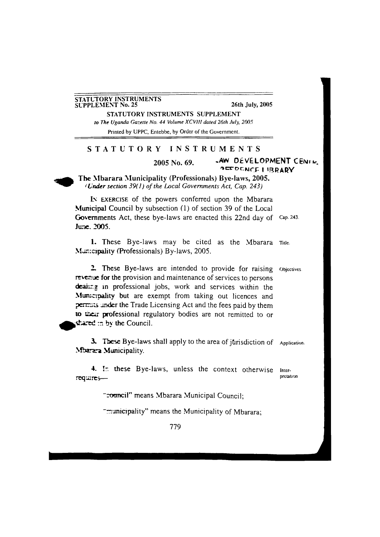#### **STATUTORY INSTRUMENTS SUPPLEMENT No. 25 26th July, 2005**

**STATUTORY INSTRUMENTS SUPPLEMENT** *to The Uganda Gazette No. 44 Volume XCV/II dated 26th July, 2005* Printed by UPPC, Entebbe, by Order of the Government.

#### **STATUTORY INSTRUMENTS**

## **2005** No. 69. **JAW DEVELOPMENT** CENIK.

**The Mbarara Municipality (Professionals) Bye-laws, 2005.** c. *nder section 39( 1) ofthe Local Governments Act, Cap. 243)*

IN EXERCISE of the powers conferred upon the Mbarara Municipal Council by subsection (1) of section 39 of the Local Governments Act, these bye-laws are enacted this 22nd day of Cap. 243. **June. 2005.**

1. These Bye-laws may be cited as the Mbarara Title. Manicipality (Professionals) By-laws, 2005.

2. These Bye-laws are intended to provide for raising objectives. revenue for the provision and maintenance of services to persons deaing in professional jobs, work and services within the Municroality but are exempt from taking out licences and permits under the Trade Licensing Act and the fees paid by them to their professional regulatory bodies are not remitted to or shared in by the Council.

3. These Bye-laws shall apply to the area of jurisdiction of Application. Mbarara Municipality.

4. In these Bye-laws, unless the context otherwise  $\frac{1}{\text{t}}$  Interrequires—

"council" means Mbarara Municipal Council:

"municipality" means the Municipality of Mbarara;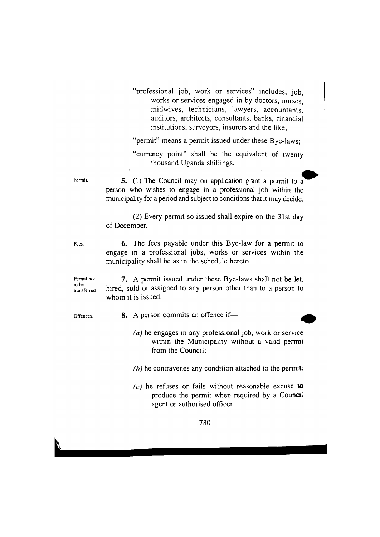"professional job, work or services" includes, job, works or services engaged in by doctors, nurses, midwives, technicians, lawyers, accountants, auditors, architects, consultants, banks, financial institutions, surveyors, insurers and the like;

"permit" means a permit issued under these Bye-laws;

"currency point" shall be the equivalent of twenty thousand Uganda shillings.

Permit. **5.** (1) The Council may on application grant a permit to a person who wishes to engage in a professional job within the municipality for a period and subject to conditions that it may decide.

> (2) Every permit so issued shall expire on the 31st day of December.

Fees. **6.** The fees payable under this Bye-law for a permit to engage in a professional jobs, works or services within the municipality shall be as in the schedule hereto.

Permit not **7.** A permit issued under these Bye-laws shall not be let,  $t_{\text{transferred}}$  hired, sold or assigned to any person other than to a person to whom it is issued.

- offences **8.** A person commits an offence if—
	- (a) he engages in any professional job, work or service within the Municipality without a valid permit from the Council;

*(b)* he contravenes any condition attached to the permit.

 $(c)$  he refuses or fails without reasonable excuse to produce the permit when required by a Council agent or authorised officer.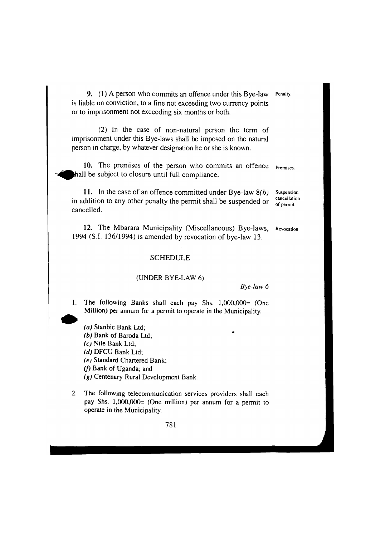**9.** (1) A person who commits an offence under this Bye-law Penalty, is liable on conviction, to a fine not exceeding two currency points or to imprisonment not exceeding six months or both.

(2) In the case of non-natural person the term of imprisonment under this Bye-laws shall be imposed on the natural person in charge, by whatever designation he or she is known.

**10.** The premises of the person who commits an offence hall be subject to closure until full compliance. Premises.

**11.** In the case of an offence committed under Bye-law *8(b)* in addition to any other penalty the permit shall be suspended or cancelled.

12. The Mbarara Municipality (Miscellaneous) Bye-laws, Revocation. 1994 (S.I. 136/1994) is amended by revocation of bye-law 13.

#### **SCHEDULE**

#### (UNDER BYE-LAW 6)

*Bye law 6*

1. The following Banks shall each pay Shs. 1,000,000= (One Million) per annum for a permit to operate in the Municipality.

*(a)* Stanbic Bank Ltd; *(b)* Bank of Baroda Ltd; *(c)* Nile Bank Ltd; *(d)* DFCU Bank Ltd; *(e)* Standard Chartered Bank; *(f)* Bank of Uganda; and *(g)* Centenary Rural Development Bank.

2. The following telecommunication services providers shall each pay Shs. 1,000,000= (One million) per annum for a permit to operate in the Municipality.



Suspension cancellation of permit.